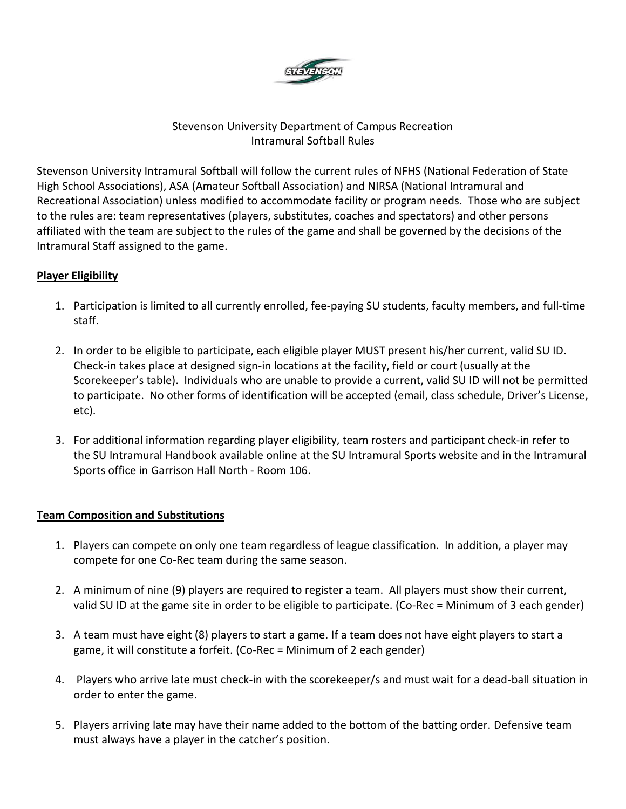

### Stevenson University Department of Campus Recreation Intramural Softball Rules

Stevenson University Intramural Softball will follow the current rules of NFHS (National Federation of State High School Associations), ASA (Amateur Softball Association) and NIRSA (National Intramural and Recreational Association) unless modified to accommodate facility or program needs. Those who are subject to the rules are: team representatives (players, substitutes, coaches and spectators) and other persons affiliated with the team are subject to the rules of the game and shall be governed by the decisions of the Intramural Staff assigned to the game.

## **Player Eligibility**

- 1. Participation is limited to all currently enrolled, fee-paying SU students, faculty members, and full-time staff.
- 2. In order to be eligible to participate, each eligible player MUST present his/her current, valid SU ID. Check-in takes place at designed sign-in locations at the facility, field or court (usually at the Scorekeeper's table). Individuals who are unable to provide a current, valid SU ID will not be permitted to participate. No other forms of identification will be accepted (email, class schedule, Driver's License, etc).
- 3. For additional information regarding player eligibility, team rosters and participant check-in refer to the SU Intramural Handbook available online at the SU Intramural Sports website and in the Intramural Sports office in Garrison Hall North - Room 106.

### **Team Composition and Substitutions**

- 1. Players can compete on only one team regardless of league classification. In addition, a player may compete for one Co-Rec team during the same season.
- 2. A minimum of nine (9) players are required to register a team. All players must show their current, valid SU ID at the game site in order to be eligible to participate. (Co-Rec = Minimum of 3 each gender)
- 3. A team must have eight (8) players to start a game. If a team does not have eight players to start a game, it will constitute a forfeit. (Co-Rec = Minimum of 2 each gender)
- 4. Players who arrive late must check-in with the scorekeeper/s and must wait for a dead-ball situation in order to enter the game.
- 5. Players arriving late may have their name added to the bottom of the batting order. Defensive team must always have a player in the catcher's position.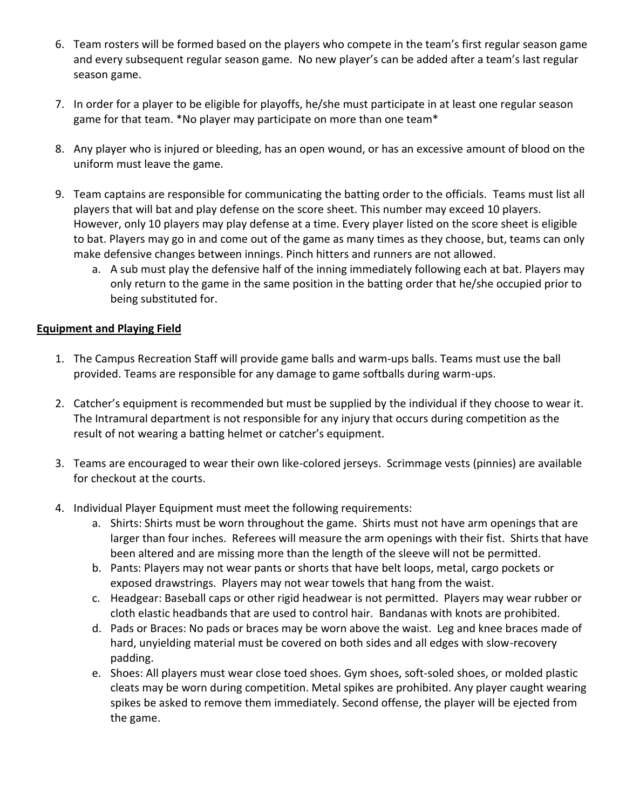- 6. Team rosters will be formed based on the players who compete in the team's first regular season game and every subsequent regular season game. No new player's can be added after a team's last regular season game.
- 7. In order for a player to be eligible for playoffs, he/she must participate in at least one regular season game for that team. \*No player may participate on more than one team\*
- 8. Any player who is injured or bleeding, has an open wound, or has an excessive amount of blood on the uniform must leave the game.
- 9. Team captains are responsible for communicating the batting order to the officials. Teams must list all players that will bat and play defense on the score sheet. This number may exceed 10 players. However, only 10 players may play defense at a time. Every player listed on the score sheet is eligible to bat. Players may go in and come out of the game as many times as they choose, but, teams can only make defensive changes between innings. Pinch hitters and runners are not allowed.
	- a. A sub must play the defensive half of the inning immediately following each at bat. Players may only return to the game in the same position in the batting order that he/she occupied prior to being substituted for.

### **Equipment and Playing Field**

- 1. The Campus Recreation Staff will provide game balls and warm-ups balls. Teams must use the ball provided. Teams are responsible for any damage to game softballs during warm-ups.
- 2. Catcher's equipment is recommended but must be supplied by the individual if they choose to wear it. The Intramural department is not responsible for any injury that occurs during competition as the result of not wearing a batting helmet or catcher's equipment.
- 3. Teams are encouraged to wear their own like-colored jerseys. Scrimmage vests (pinnies) are available for checkout at the courts.
- 4. Individual Player Equipment must meet the following requirements:
	- a. Shirts: Shirts must be worn throughout the game. Shirts must not have arm openings that are larger than four inches. Referees will measure the arm openings with their fist. Shirts that have been altered and are missing more than the length of the sleeve will not be permitted.
	- b. Pants: Players may not wear pants or shorts that have belt loops, metal, cargo pockets or exposed drawstrings. Players may not wear towels that hang from the waist.
	- c. Headgear: Baseball caps or other rigid headwear is not permitted. Players may wear rubber or cloth elastic headbands that are used to control hair. Bandanas with knots are prohibited.
	- d. Pads or Braces: No pads or braces may be worn above the waist. Leg and knee braces made of hard, unyielding material must be covered on both sides and all edges with slow-recovery padding.
	- e. Shoes: All players must wear close toed shoes. Gym shoes, soft-soled shoes, or molded plastic cleats may be worn during competition. Metal spikes are prohibited. Any player caught wearing spikes be asked to remove them immediately. Second offense, the player will be ejected from the game.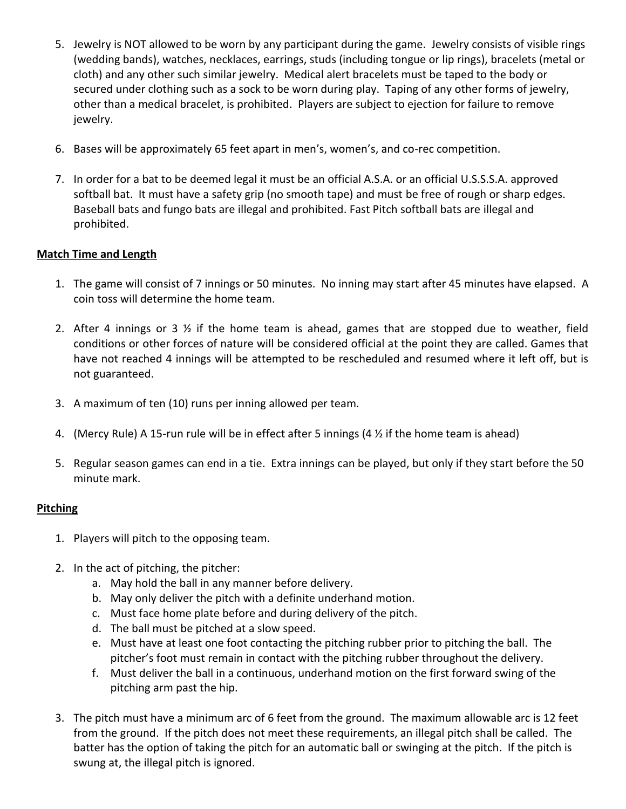- 5. Jewelry is NOT allowed to be worn by any participant during the game. Jewelry consists of visible rings (wedding bands), watches, necklaces, earrings, studs (including tongue or lip rings), bracelets (metal or cloth) and any other such similar jewelry. Medical alert bracelets must be taped to the body or secured under clothing such as a sock to be worn during play. Taping of any other forms of jewelry, other than a medical bracelet, is prohibited. Players are subject to ejection for failure to remove jewelry.
- 6. Bases will be approximately 65 feet apart in men's, women's, and co-rec competition.
- 7. In order for a bat to be deemed legal it must be an official A.S.A. or an official U.S.S.S.A. approved softball bat. It must have a safety grip (no smooth tape) and must be free of rough or sharp edges. Baseball bats and fungo bats are illegal and prohibited. Fast Pitch softball bats are illegal and prohibited.

### **Match Time and Length**

- 1. The game will consist of 7 innings or 50 minutes. No inning may start after 45 minutes have elapsed. A coin toss will determine the home team.
- 2. After 4 innings or 3  $\frac{1}{2}$  if the home team is ahead, games that are stopped due to weather, field conditions or other forces of nature will be considered official at the point they are called. Games that have not reached 4 innings will be attempted to be rescheduled and resumed where it left off, but is not guaranteed.
- 3. A maximum of ten (10) runs per inning allowed per team.
- 4. (Mercy Rule) A 15-run rule will be in effect after 5 innings (4  $\frac{1}{2}$  if the home team is ahead)
- 5. Regular season games can end in a tie. Extra innings can be played, but only if they start before the 50 minute mark.

### **Pitching**

- 1. Players will pitch to the opposing team.
- 2. In the act of pitching, the pitcher:
	- a. May hold the ball in any manner before delivery.
	- b. May only deliver the pitch with a definite underhand motion.
	- c. Must face home plate before and during delivery of the pitch.
	- d. The ball must be pitched at a slow speed.
	- e. Must have at least one foot contacting the pitching rubber prior to pitching the ball. The pitcher's foot must remain in contact with the pitching rubber throughout the delivery.
	- f. Must deliver the ball in a continuous, underhand motion on the first forward swing of the pitching arm past the hip.
- 3. The pitch must have a minimum arc of 6 feet from the ground. The maximum allowable arc is 12 feet from the ground. If the pitch does not meet these requirements, an illegal pitch shall be called. The batter has the option of taking the pitch for an automatic ball or swinging at the pitch. If the pitch is swung at, the illegal pitch is ignored.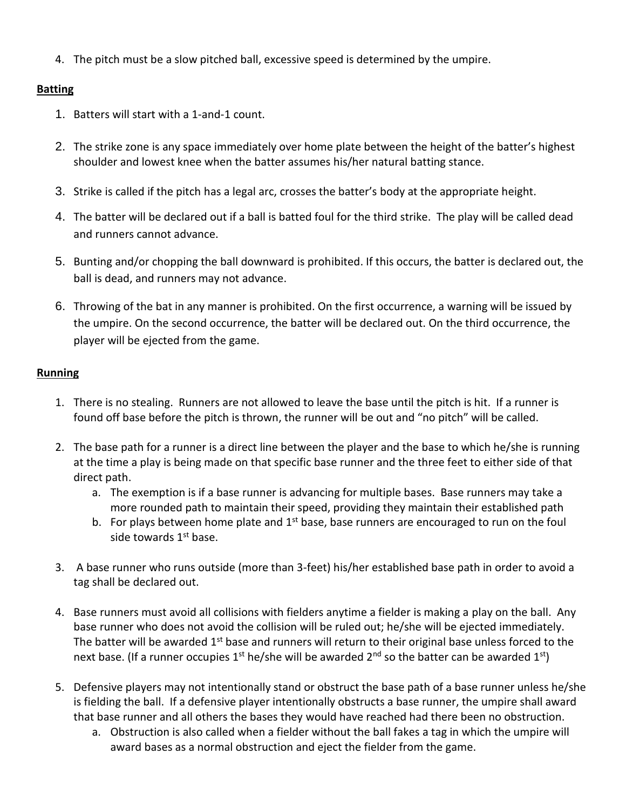4. The pitch must be a slow pitched ball, excessive speed is determined by the umpire.

# **Batting**

- 1. Batters will start with a 1-and-1 count.
- 2. The strike zone is any space immediately over home plate between the height of the batter's highest shoulder and lowest knee when the batter assumes his/her natural batting stance.
- 3. Strike is called if the pitch has a legal arc, crosses the batter's body at the appropriate height.
- 4. The batter will be declared out if a ball is batted foul for the third strike. The play will be called dead and runners cannot advance.
- 5. Bunting and/or chopping the ball downward is prohibited. If this occurs, the batter is declared out, the ball is dead, and runners may not advance.
- 6. Throwing of the bat in any manner is prohibited. On the first occurrence, a warning will be issued by the umpire. On the second occurrence, the batter will be declared out. On the third occurrence, the player will be ejected from the game.

## **Running**

- 1. There is no stealing. Runners are not allowed to leave the base until the pitch is hit. If a runner is found off base before the pitch is thrown, the runner will be out and "no pitch" will be called.
- 2. The base path for a runner is a direct line between the player and the base to which he/she is running at the time a play is being made on that specific base runner and the three feet to either side of that direct path.
	- a. The exemption is if a base runner is advancing for multiple bases. Base runners may take a more rounded path to maintain their speed, providing they maintain their established path
	- b. For plays between home plate and  $1<sup>st</sup>$  base, base runners are encouraged to run on the foul side towards 1<sup>st</sup> base.
- 3. A base runner who runs outside (more than 3-feet) his/her established base path in order to avoid a tag shall be declared out.
- 4. Base runners must avoid all collisions with fielders anytime a fielder is making a play on the ball. Any base runner who does not avoid the collision will be ruled out; he/she will be ejected immediately. The batter will be awarded  $1<sup>st</sup>$  base and runners will return to their original base unless forced to the next base. (If a runner occupies 1<sup>st</sup> he/she will be awarded 2<sup>nd</sup> so the batter can be awarded 1<sup>st</sup>)
- 5. Defensive players may not intentionally stand or obstruct the base path of a base runner unless he/she is fielding the ball. If a defensive player intentionally obstructs a base runner, the umpire shall award that base runner and all others the bases they would have reached had there been no obstruction.
	- a. Obstruction is also called when a fielder without the ball fakes a tag in which the umpire will award bases as a normal obstruction and eject the fielder from the game.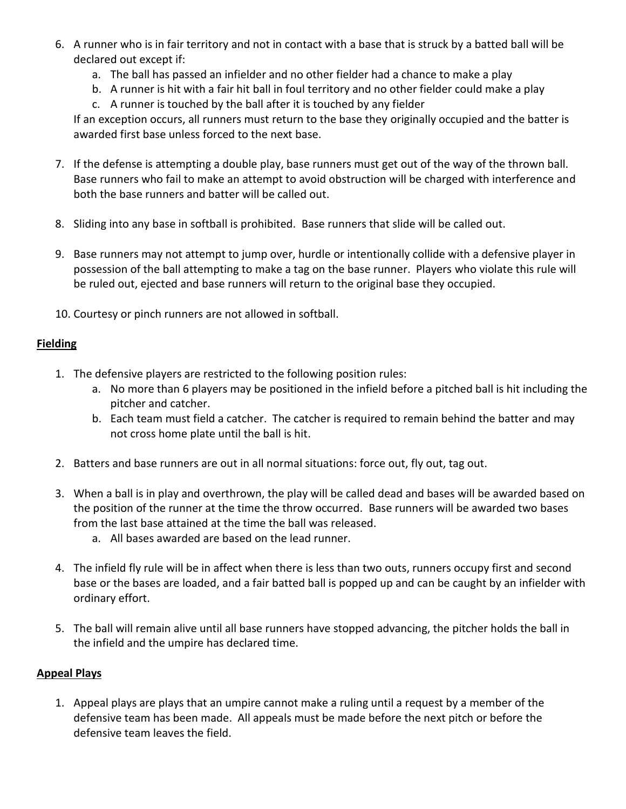- 6. A runner who is in fair territory and not in contact with a base that is struck by a batted ball will be declared out except if:
	- a. The ball has passed an infielder and no other fielder had a chance to make a play
	- b. A runner is hit with a fair hit ball in foul territory and no other fielder could make a play
	- c. A runner is touched by the ball after it is touched by any fielder

If an exception occurs, all runners must return to the base they originally occupied and the batter is awarded first base unless forced to the next base.

- 7. If the defense is attempting a double play, base runners must get out of the way of the thrown ball. Base runners who fail to make an attempt to avoid obstruction will be charged with interference and both the base runners and batter will be called out.
- 8. Sliding into any base in softball is prohibited. Base runners that slide will be called out.
- 9. Base runners may not attempt to jump over, hurdle or intentionally collide with a defensive player in possession of the ball attempting to make a tag on the base runner. Players who violate this rule will be ruled out, ejected and base runners will return to the original base they occupied.
- 10. Courtesy or pinch runners are not allowed in softball.

### **Fielding**

- 1. The defensive players are restricted to the following position rules:
	- a. No more than 6 players may be positioned in the infield before a pitched ball is hit including the pitcher and catcher.
	- b. Each team must field a catcher. The catcher is required to remain behind the batter and may not cross home plate until the ball is hit.
- 2. Batters and base runners are out in all normal situations: force out, fly out, tag out.
- 3. When a ball is in play and overthrown, the play will be called dead and bases will be awarded based on the position of the runner at the time the throw occurred. Base runners will be awarded two bases from the last base attained at the time the ball was released.
	- a. All bases awarded are based on the lead runner.
- 4. The infield fly rule will be in affect when there is less than two outs, runners occupy first and second base or the bases are loaded, and a fair batted ball is popped up and can be caught by an infielder with ordinary effort.
- 5. The ball will remain alive until all base runners have stopped advancing, the pitcher holds the ball in the infield and the umpire has declared time.

### **Appeal Plays**

1. Appeal plays are plays that an umpire cannot make a ruling until a request by a member of the defensive team has been made. All appeals must be made before the next pitch or before the defensive team leaves the field.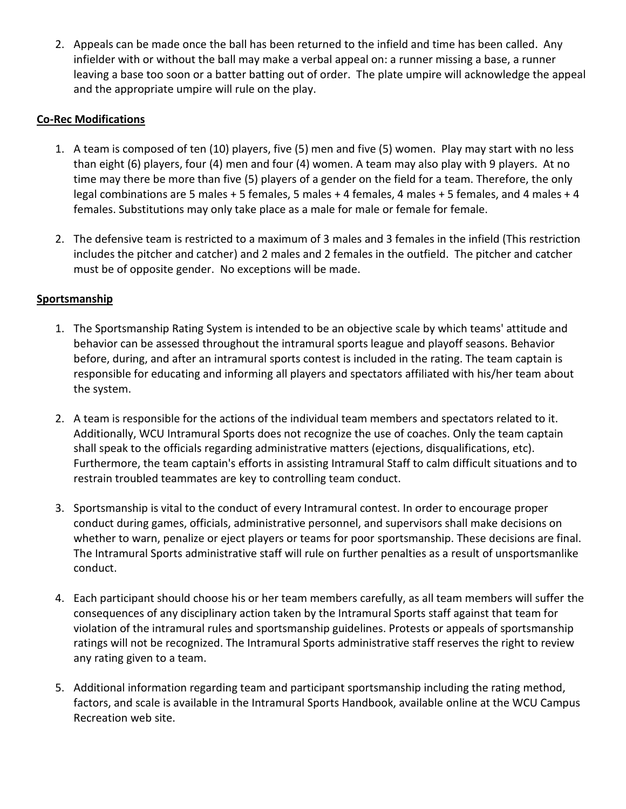2. Appeals can be made once the ball has been returned to the infield and time has been called. Any infielder with or without the ball may make a verbal appeal on: a runner missing a base, a runner leaving a base too soon or a batter batting out of order. The plate umpire will acknowledge the appeal and the appropriate umpire will rule on the play.

### **Co-Rec Modifications**

- 1. A team is composed of ten (10) players, five (5) men and five (5) women. Play may start with no less than eight (6) players, four (4) men and four (4) women. A team may also play with 9 players. At no time may there be more than five (5) players of a gender on the field for a team. Therefore, the only legal combinations are 5 males + 5 females, 5 males + 4 females, 4 males + 5 females, and 4 males + 4 females. Substitutions may only take place as a male for male or female for female.
- 2. The defensive team is restricted to a maximum of 3 males and 3 females in the infield (This restriction includes the pitcher and catcher) and 2 males and 2 females in the outfield. The pitcher and catcher must be of opposite gender. No exceptions will be made.

## **Sportsmanship**

- 1. The Sportsmanship Rating System is intended to be an objective scale by which teams' attitude and behavior can be assessed throughout the intramural sports league and playoff seasons. Behavior before, during, and after an intramural sports contest is included in the rating. The team captain is responsible for educating and informing all players and spectators affiliated with his/her team about the system.
- 2. A team is responsible for the actions of the individual team members and spectators related to it. Additionally, WCU Intramural Sports does not recognize the use of coaches. Only the team captain shall speak to the officials regarding administrative matters (ejections, disqualifications, etc). Furthermore, the team captain's efforts in assisting Intramural Staff to calm difficult situations and to restrain troubled teammates are key to controlling team conduct.
- 3. Sportsmanship is vital to the conduct of every Intramural contest. In order to encourage proper conduct during games, officials, administrative personnel, and supervisors shall make decisions on whether to warn, penalize or eject players or teams for poor sportsmanship. These decisions are final. The Intramural Sports administrative staff will rule on further penalties as a result of unsportsmanlike conduct.
- 4. Each participant should choose his or her team members carefully, as all team members will suffer the consequences of any disciplinary action taken by the Intramural Sports staff against that team for violation of the intramural rules and sportsmanship guidelines. Protests or appeals of sportsmanship ratings will not be recognized. The Intramural Sports administrative staff reserves the right to review any rating given to a team.
- 5. Additional information regarding team and participant sportsmanship including the rating method, factors, and scale is available in the Intramural Sports Handbook, available online at the WCU Campus Recreation web site.